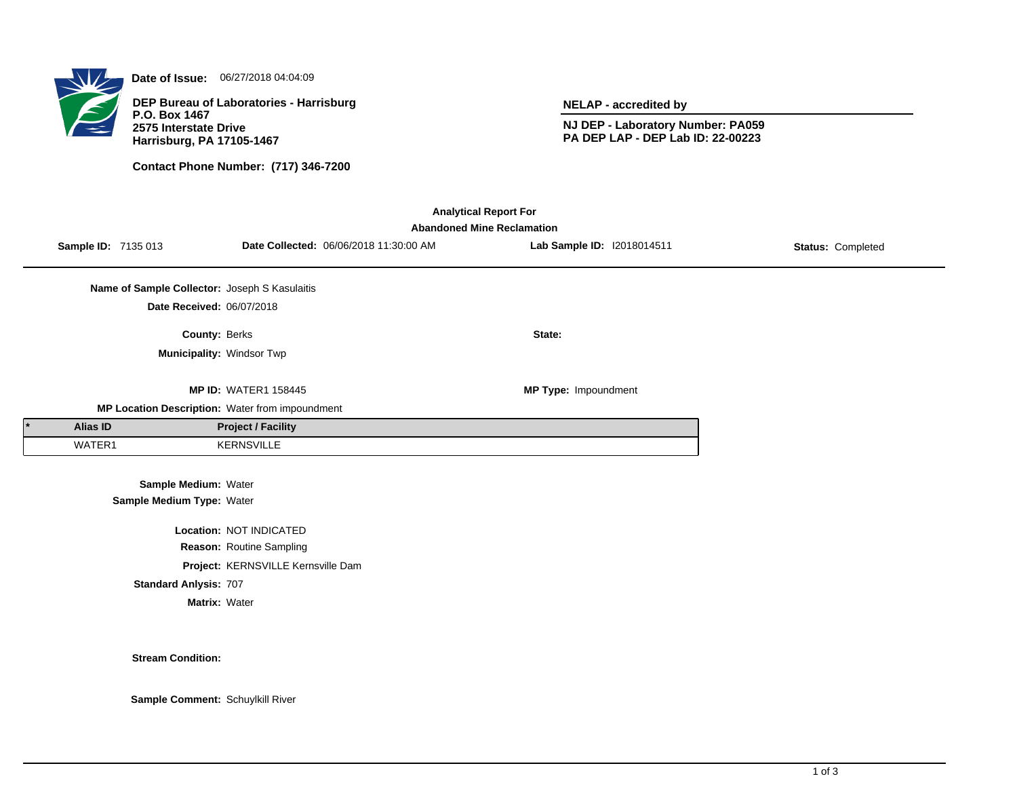

**Date of Issue:** 06/27/2018 04:04:09

**DEP Bureau of Laboratories - Harrisburg P.O. Box 1467 2575 Interstate Drive Harrisburg, PA 17105-1467**

**Contact Phone Number: (717) 346-7200**

**NELAP - accredited by**

**NJ DEP - Laboratory Number: PA059 PA DEP LAP - DEP Lab ID: 22-00223**

| <b>Analytical Report For</b> |                                   |                                               |                                                 |  |                             |                   |  |  |  |  |  |  |
|------------------------------|-----------------------------------|-----------------------------------------------|-------------------------------------------------|--|-----------------------------|-------------------|--|--|--|--|--|--|
|                              | <b>Abandoned Mine Reclamation</b> |                                               |                                                 |  |                             |                   |  |  |  |  |  |  |
|                              | Sample ID: 7135 013               |                                               | Date Collected: 06/06/2018 11:30:00 AM          |  | Lab Sample ID: 12018014511  | Status: Completed |  |  |  |  |  |  |
|                              |                                   |                                               |                                                 |  |                             |                   |  |  |  |  |  |  |
|                              |                                   | Name of Sample Collector: Joseph S Kasulaitis |                                                 |  |                             |                   |  |  |  |  |  |  |
|                              |                                   | Date Received: 06/07/2018                     |                                                 |  |                             |                   |  |  |  |  |  |  |
|                              |                                   | <b>County: Berks</b>                          |                                                 |  | State:                      |                   |  |  |  |  |  |  |
|                              |                                   | Municipality: Windsor Twp                     |                                                 |  |                             |                   |  |  |  |  |  |  |
|                              |                                   |                                               |                                                 |  |                             |                   |  |  |  |  |  |  |
|                              |                                   |                                               | <b>MP ID: WATER1 158445</b>                     |  | <b>MP Type: Impoundment</b> |                   |  |  |  |  |  |  |
|                              |                                   |                                               | MP Location Description: Water from impoundment |  |                             |                   |  |  |  |  |  |  |
|                              | Alias ID                          |                                               | <b>Project / Facility</b>                       |  |                             |                   |  |  |  |  |  |  |
|                              | WATER1                            |                                               | <b>KERNSVILLE</b>                               |  |                             |                   |  |  |  |  |  |  |
|                              |                                   |                                               |                                                 |  |                             |                   |  |  |  |  |  |  |
|                              |                                   | Sample Medium: Water                          |                                                 |  |                             |                   |  |  |  |  |  |  |
|                              |                                   | Sample Medium Type: Water                     |                                                 |  |                             |                   |  |  |  |  |  |  |
|                              |                                   |                                               |                                                 |  |                             |                   |  |  |  |  |  |  |
|                              |                                   |                                               | Location: NOT INDICATED                         |  |                             |                   |  |  |  |  |  |  |
|                              |                                   |                                               | Reason: Routine Sampling                        |  |                             |                   |  |  |  |  |  |  |
|                              |                                   |                                               | Project: KERNSVILLE Kernsville Dam              |  |                             |                   |  |  |  |  |  |  |
|                              |                                   | <b>Standard Anlysis: 707</b>                  |                                                 |  |                             |                   |  |  |  |  |  |  |

**Matrix:** Water

**Stream Condition:**

**Sample Comment:** Schuylkill River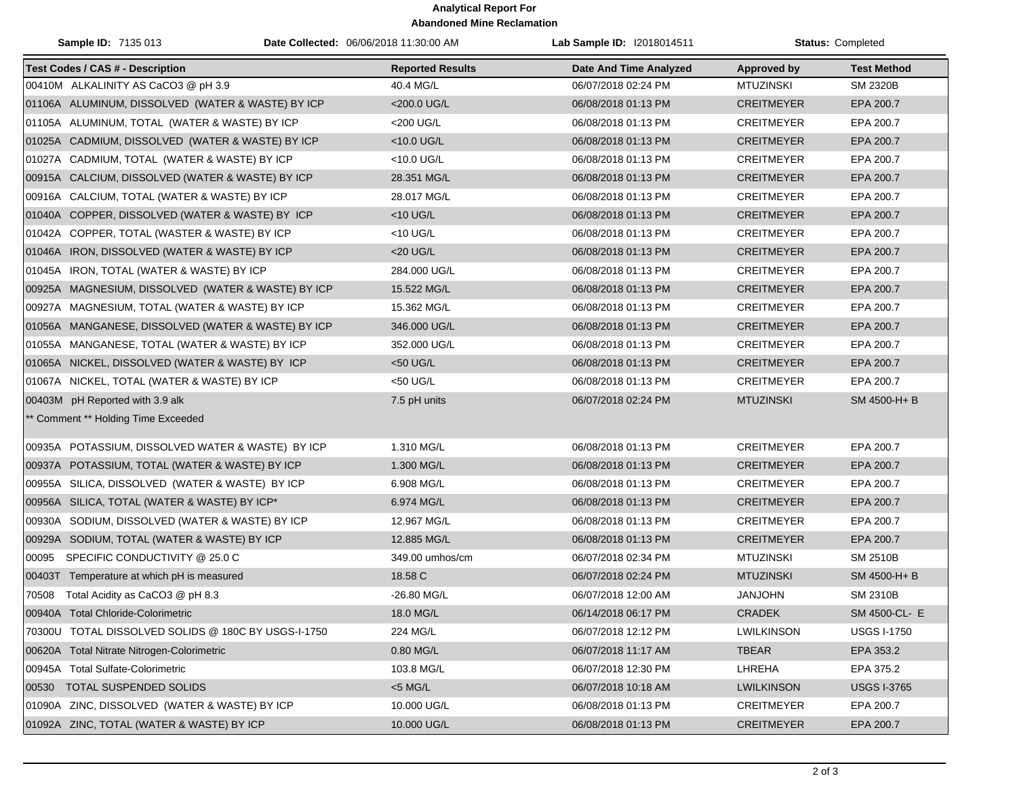## **Analytical Report For Abandoned Mine Reclamation**

| <b>Sample ID: 7135 013</b>                          | Date Collected: 06/06/2018 11:30:00 AM | Lab Sample ID: I2018014511    | <b>Status: Completed</b> |                    |
|-----------------------------------------------------|----------------------------------------|-------------------------------|--------------------------|--------------------|
| <b>Test Codes / CAS # - Description</b>             | <b>Reported Results</b>                | <b>Date And Time Analyzed</b> | <b>Approved by</b>       | <b>Test Method</b> |
| 00410M ALKALINITY AS CaCO3 @ pH 3.9                 | 40.4 MG/L                              | 06/07/2018 02:24 PM           | <b>MTUZINSKI</b>         | <b>SM 2320B</b>    |
| 01106A ALUMINUM, DISSOLVED (WATER & WASTE) BY ICP   | <200.0 UG/L                            | 06/08/2018 01:13 PM           | <b>CREITMEYER</b>        | EPA 200.7          |
| 01105A ALUMINUM, TOTAL (WATER & WASTE) BY ICP       | <200 UG/L                              | 06/08/2018 01:13 PM           | <b>CREITMEYER</b>        | EPA 200.7          |
| 01025A CADMIUM, DISSOLVED (WATER & WASTE) BY ICP    | <10.0 UG/L                             | 06/08/2018 01:13 PM           | <b>CREITMEYER</b>        | EPA 200.7          |
| 01027A CADMIUM, TOTAL (WATER & WASTE) BY ICP        | <10.0 UG/L                             | 06/08/2018 01:13 PM           | <b>CREITMEYER</b>        | EPA 200.7          |
| 00915A CALCIUM, DISSOLVED (WATER & WASTE) BY ICP    | 28.351 MG/L                            | 06/08/2018 01:13 PM           | <b>CREITMEYER</b>        | EPA 200.7          |
| 00916A CALCIUM, TOTAL (WATER & WASTE) BY ICP        | 28.017 MG/L                            | 06/08/2018 01:13 PM           | <b>CREITMEYER</b>        | EPA 200.7          |
| 01040A COPPER, DISSOLVED (WATER & WASTE) BY ICP     | $<$ 10 UG/L                            | 06/08/2018 01:13 PM           | <b>CREITMEYER</b>        | EPA 200.7          |
| 01042A COPPER, TOTAL (WASTER & WASTE) BY ICP        | $<$ 10 UG/L                            | 06/08/2018 01:13 PM           | <b>CREITMEYER</b>        | EPA 200.7          |
| 01046A IRON, DISSOLVED (WATER & WASTE) BY ICP       | <20 UG/L                               | 06/08/2018 01:13 PM           | <b>CREITMEYER</b>        | EPA 200.7          |
| 01045A IRON, TOTAL (WATER & WASTE) BY ICP           | 284.000 UG/L                           | 06/08/2018 01:13 PM           | <b>CREITMEYER</b>        | EPA 200.7          |
| 00925A MAGNESIUM, DISSOLVED (WATER & WASTE) BY ICP  | 15.522 MG/L                            | 06/08/2018 01:13 PM           | <b>CREITMEYER</b>        | EPA 200.7          |
| 00927A MAGNESIUM, TOTAL (WATER & WASTE) BY ICP      | 15.362 MG/L                            | 06/08/2018 01:13 PM           | <b>CREITMEYER</b>        | EPA 200.7          |
| 01056A MANGANESE, DISSOLVED (WATER & WASTE) BY ICP  | 346.000 UG/L                           | 06/08/2018 01:13 PM           | <b>CREITMEYER</b>        | EPA 200.7          |
| 01055A MANGANESE, TOTAL (WATER & WASTE) BY ICP      | 352.000 UG/L                           | 06/08/2018 01:13 PM           | <b>CREITMEYER</b>        | EPA 200.7          |
| 01065A NICKEL, DISSOLVED (WATER & WASTE) BY ICP     | <50 UG/L                               | 06/08/2018 01:13 PM           | <b>CREITMEYER</b>        | EPA 200.7          |
| 01067A NICKEL, TOTAL (WATER & WASTE) BY ICP         | <50 UG/L                               | 06/08/2018 01:13 PM           | <b>CREITMEYER</b>        | EPA 200.7          |
| 00403M pH Reported with 3.9 alk                     | 7.5 pH units                           | 06/07/2018 02:24 PM           | <b>MTUZINSKI</b>         | SM 4500-H+B        |
| ** Comment ** Holding Time Exceeded                 |                                        |                               |                          |                    |
| 00935A POTASSIUM, DISSOLVED WATER & WASTE) BY ICP   | 1.310 MG/L                             | 06/08/2018 01:13 PM           | <b>CREITMEYER</b>        | EPA 200.7          |
| 00937A POTASSIUM, TOTAL (WATER & WASTE) BY ICP      | 1.300 MG/L                             | 06/08/2018 01:13 PM           | <b>CREITMEYER</b>        | EPA 200.7          |
| 00955A SILICA, DISSOLVED (WATER & WASTE) BY ICP     | 6.908 MG/L                             | 06/08/2018 01:13 PM           | <b>CREITMEYER</b>        | EPA 200.7          |
| 00956A SILICA, TOTAL (WATER & WASTE) BY ICP*        | 6.974 MG/L                             | 06/08/2018 01:13 PM           | <b>CREITMEYER</b>        | EPA 200.7          |
| 00930A SODIUM, DISSOLVED (WATER & WASTE) BY ICP     | 12.967 MG/L                            | 06/08/2018 01:13 PM           | <b>CREITMEYER</b>        | EPA 200.7          |
| 00929A SODIUM, TOTAL (WATER & WASTE) BY ICP         | 12.885 MG/L                            | 06/08/2018 01:13 PM           | <b>CREITMEYER</b>        | EPA 200.7          |
| SPECIFIC CONDUCTIVITY @ 25.0 C<br>00095             | 349.00 umhos/cm                        | 06/07/2018 02:34 PM           | <b>MTUZINSKI</b>         | <b>SM 2510B</b>    |
| 00403T Temperature at which pH is measured          | 18.58 C                                | 06/07/2018 02:24 PM           | <b>MTUZINSKI</b>         | SM 4500-H+B        |
| 70508 Total Acidity as CaCO3 @ pH 8.3               | -26.80 MG/L                            | 06/07/2018 12:00 AM           | <b>JANJOHN</b>           | <b>SM 2310B</b>    |
| 00940A Total Chloride-Colorimetric                  | 18.0 MG/L                              | 06/14/2018 06:17 PM           | CRADEK                   | SM 4500-CL- E      |
| 70300U TOTAL DISSOLVED SOLIDS @ 180C BY USGS-I-1750 | 224 MG/L                               | 06/07/2018 12:12 PM           | <b>LWILKINSON</b>        | <b>USGS I-1750</b> |
| 00620A Total Nitrate Nitrogen-Colorimetric          | 0.80 MG/L                              | 06/07/2018 11:17 AM           | <b>TBEAR</b>             | EPA 353.2          |
| 00945A Total Sulfate-Colorimetric                   | 103.8 MG/L                             | 06/07/2018 12:30 PM           | LHREHA                   | EPA 375.2          |
| TOTAL SUSPENDED SOLIDS<br>00530                     | $<$ 5 MG/L                             | 06/07/2018 10:18 AM           | <b>LWILKINSON</b>        | <b>USGS I-3765</b> |
| 01090A ZINC, DISSOLVED (WATER & WASTE) BY ICP       | 10.000 UG/L                            | 06/08/2018 01:13 PM           | <b>CREITMEYER</b>        | EPA 200.7          |
| 01092A ZINC, TOTAL (WATER & WASTE) BY ICP           | 10.000 UG/L                            | 06/08/2018 01:13 PM           | <b>CREITMEYER</b>        | EPA 200.7          |